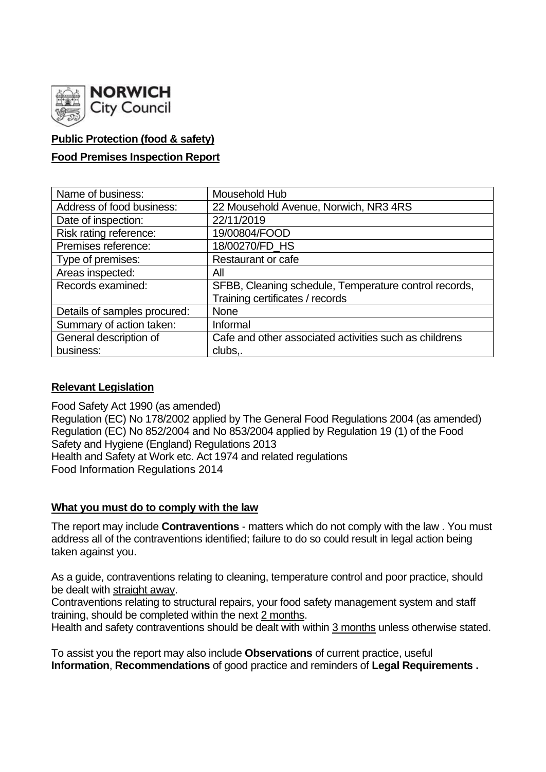

# **Public Protection (food & safety)**

## **Food Premises Inspection Report**

| Name of business:            | Mousehold Hub                                          |
|------------------------------|--------------------------------------------------------|
| Address of food business:    | 22 Mousehold Avenue, Norwich, NR3 4RS                  |
| Date of inspection:          | 22/11/2019                                             |
| Risk rating reference:       | 19/00804/FOOD                                          |
| Premises reference:          | 18/00270/FD_HS                                         |
| Type of premises:            | <b>Restaurant or cafe</b>                              |
| Areas inspected:             | All                                                    |
| Records examined:            | SFBB, Cleaning schedule, Temperature control records,  |
|                              | Training certificates / records                        |
| Details of samples procured: | <b>None</b>                                            |
| Summary of action taken:     | Informal                                               |
| General description of       | Cafe and other associated activities such as childrens |
| business:                    | clubs,.                                                |

### **Relevant Legislation**

Food Safety Act 1990 (as amended) Regulation (EC) No 178/2002 applied by The General Food Regulations 2004 (as amended) Regulation (EC) No 852/2004 and No 853/2004 applied by Regulation 19 (1) of the Food Safety and Hygiene (England) Regulations 2013 Health and Safety at Work etc. Act 1974 and related regulations Food Information Regulations 2014

### **What you must do to comply with the law**

The report may include **Contraventions** - matters which do not comply with the law . You must address all of the contraventions identified; failure to do so could result in legal action being taken against you.

As a guide, contraventions relating to cleaning, temperature control and poor practice, should be dealt with straight away.

Contraventions relating to structural repairs, your food safety management system and staff training, should be completed within the next 2 months.

Health and safety contraventions should be dealt with within 3 months unless otherwise stated.

To assist you the report may also include **Observations** of current practice, useful **Information**, **Recommendations** of good practice and reminders of **Legal Requirements .**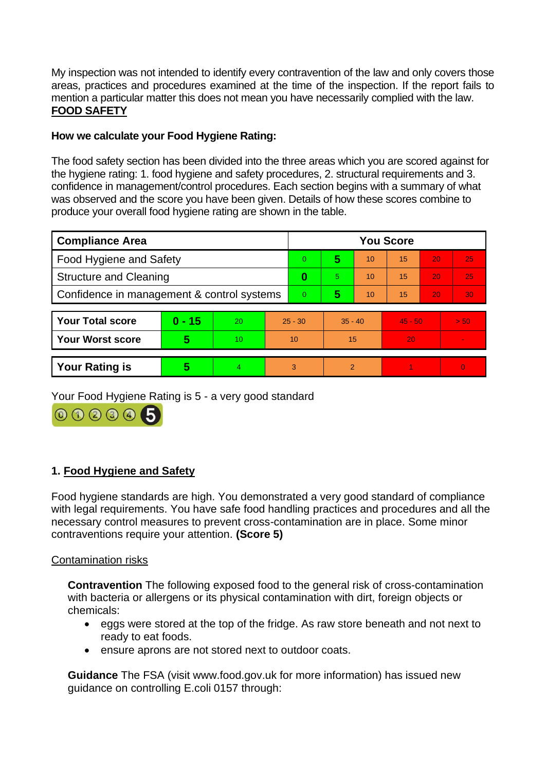My inspection was not intended to identify every contravention of the law and only covers those areas, practices and procedures examined at the time of the inspection. If the report fails to mention a particular matter this does not mean you have necessarily complied with the law. **FOOD SAFETY**

## **How we calculate your Food Hygiene Rating:**

The food safety section has been divided into the three areas which you are scored against for the hygiene rating: 1. food hygiene and safety procedures, 2. structural requirements and 3. confidence in management/control procedures. Each section begins with a summary of what was observed and the score you have been given. Details of how these scores combine to produce your overall food hygiene rating are shown in the table.

| <b>Compliance Area</b>                     |          |    |           | <b>You Score</b> |               |    |           |    |          |  |
|--------------------------------------------|----------|----|-----------|------------------|---------------|----|-----------|----|----------|--|
| Food Hygiene and Safety                    |          |    |           | $\Omega$         | 5             | 10 | 15        | 20 | 25       |  |
| <b>Structure and Cleaning</b>              |          |    |           | 0                | 5.            | 10 | 15        | 20 | 25       |  |
| Confidence in management & control systems |          |    |           | $\Omega$         | 5             | 10 | 15        | 20 | 30       |  |
|                                            |          |    |           |                  |               |    |           |    |          |  |
| <b>Your Total score</b>                    | $0 - 15$ | 20 | $25 - 30$ |                  | $35 - 40$     |    | $45 - 50$ |    | > 50     |  |
| <b>Your Worst score</b>                    | 5        | 10 | 10        |                  | 15            |    | 20        |    |          |  |
|                                            |          |    |           |                  |               |    |           |    |          |  |
| <b>Your Rating is</b>                      | 5        | 4  | 3         |                  | $\mathcal{P}$ |    |           |    | $\Omega$ |  |

Your Food Hygiene Rating is 5 - a very good standard



# **1. Food Hygiene and Safety**

Food hygiene standards are high. You demonstrated a very good standard of compliance with legal requirements. You have safe food handling practices and procedures and all the necessary control measures to prevent cross-contamination are in place. Some minor contraventions require your attention. **(Score 5)**

## Contamination risks

**Contravention** The following exposed food to the general risk of cross-contamination with bacteria or allergens or its physical contamination with dirt, foreign objects or chemicals:

- eggs were stored at the top of the fridge. As raw store beneath and not next to ready to eat foods.
- ensure aprons are not stored next to outdoor coats.

**Guidance** The FSA (visit www.food.gov.uk for more information) has issued new guidance on controlling E.coli 0157 through: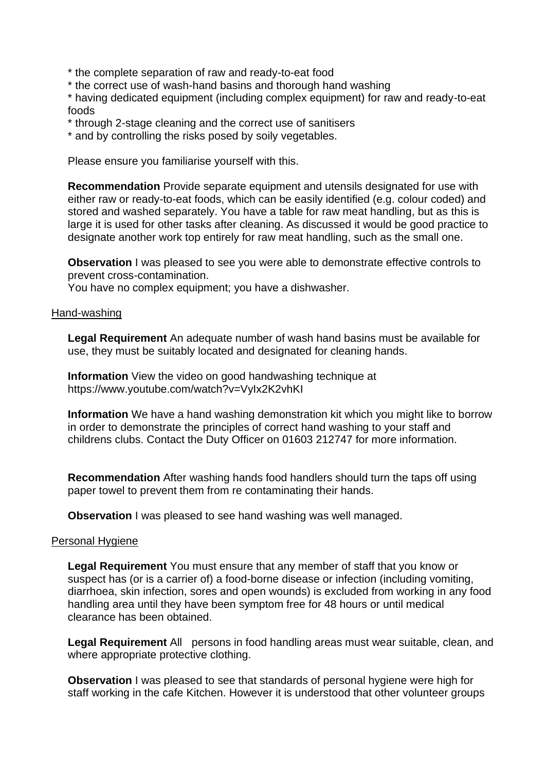\* the complete separation of raw and ready-to-eat food

\* the correct use of wash-hand basins and thorough hand washing

\* having dedicated equipment (including complex equipment) for raw and ready-to-eat foods

- \* through 2-stage cleaning and the correct use of sanitisers
- \* and by controlling the risks posed by soily vegetables.

Please ensure you familiarise yourself with this.

**Recommendation** Provide separate equipment and utensils designated for use with either raw or ready-to-eat foods, which can be easily identified (e.g. colour coded) and stored and washed separately. You have a table for raw meat handling, but as this is large it is used for other tasks after cleaning. As discussed it would be good practice to designate another work top entirely for raw meat handling, such as the small one.

**Observation** I was pleased to see you were able to demonstrate effective controls to prevent cross-contamination.

You have no complex equipment; you have a dishwasher.

#### Hand-washing

**Legal Requirement** An adequate number of wash hand basins must be available for use, they must be suitably located and designated for cleaning hands.

**Information** View the video on good handwashing technique at https://www.youtube.com/watch?v=VyIx2K2vhKI

**Information** We have a hand washing demonstration kit which you might like to borrow in order to demonstrate the principles of correct hand washing to your staff and childrens clubs. Contact the Duty Officer on 01603 212747 for more information.

**Recommendation** After washing hands food handlers should turn the taps off using paper towel to prevent them from re contaminating their hands.

**Observation** I was pleased to see hand washing was well managed.

#### Personal Hygiene

**Legal Requirement** You must ensure that any member of staff that you know or suspect has (or is a carrier of) a food-borne disease or infection (including vomiting, diarrhoea, skin infection, sores and open wounds) is excluded from working in any food handling area until they have been symptom free for 48 hours or until medical clearance has been obtained.

**Legal Requirement** All persons in food handling areas must wear suitable, clean, and where appropriate protective clothing.

**Observation** I was pleased to see that standards of personal hygiene were high for staff working in the cafe Kitchen. However it is understood that other volunteer groups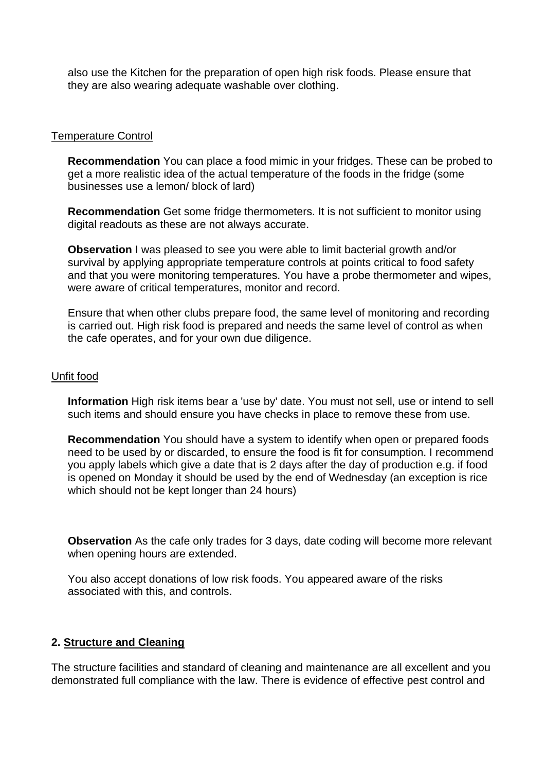also use the Kitchen for the preparation of open high risk foods. Please ensure that they are also wearing adequate washable over clothing.

#### Temperature Control

**Recommendation** You can place a food mimic in your fridges. These can be probed to get a more realistic idea of the actual temperature of the foods in the fridge (some businesses use a lemon/ block of lard)

**Recommendation** Get some fridge thermometers. It is not sufficient to monitor using digital readouts as these are not always accurate.

**Observation I** was pleased to see you were able to limit bacterial growth and/or survival by applying appropriate temperature controls at points critical to food safety and that you were monitoring temperatures. You have a probe thermometer and wipes, were aware of critical temperatures, monitor and record.

Ensure that when other clubs prepare food, the same level of monitoring and recording is carried out. High risk food is prepared and needs the same level of control as when the cafe operates, and for your own due diligence.

#### Unfit food

**Information** High risk items bear a 'use by' date. You must not sell, use or intend to sell such items and should ensure you have checks in place to remove these from use.

**Recommendation** You should have a system to identify when open or prepared foods need to be used by or discarded, to ensure the food is fit for consumption. I recommend you apply labels which give a date that is 2 days after the day of production e.g. if food is opened on Monday it should be used by the end of Wednesday (an exception is rice which should not be kept longer than 24 hours)

**Observation** As the cafe only trades for 3 days, date coding will become more relevant when opening hours are extended.

You also accept donations of low risk foods. You appeared aware of the risks associated with this, and controls.

### **2. Structure and Cleaning**

The structure facilities and standard of cleaning and maintenance are all excellent and you demonstrated full compliance with the law. There is evidence of effective pest control and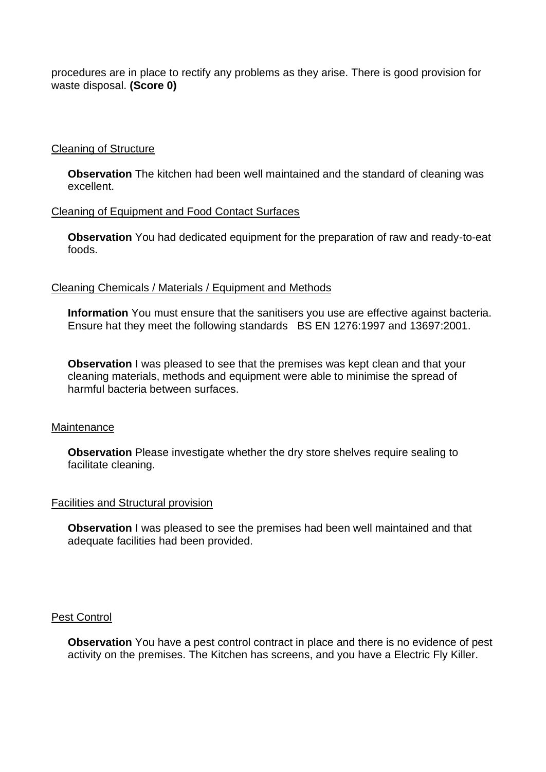procedures are in place to rectify any problems as they arise. There is good provision for waste disposal. **(Score 0)**

### Cleaning of Structure

**Observation** The kitchen had been well maintained and the standard of cleaning was excellent.

### Cleaning of Equipment and Food Contact Surfaces

**Observation** You had dedicated equipment for the preparation of raw and ready-to-eat foods.

### Cleaning Chemicals / Materials / Equipment and Methods

**Information** You must ensure that the sanitisers you use are effective against bacteria. Ensure hat they meet the following standards BS EN 1276:1997 and 13697:2001.

**Observation** I was pleased to see that the premises was kept clean and that your cleaning materials, methods and equipment were able to minimise the spread of harmful bacteria between surfaces.

### Maintenance

**Observation** Please investigate whether the dry store shelves require sealing to facilitate cleaning.

### Facilities and Structural provision

**Observation** I was pleased to see the premises had been well maintained and that adequate facilities had been provided.

#### Pest Control

**Observation** You have a pest control contract in place and there is no evidence of pest activity on the premises. The Kitchen has screens, and you have a Electric Fly Killer.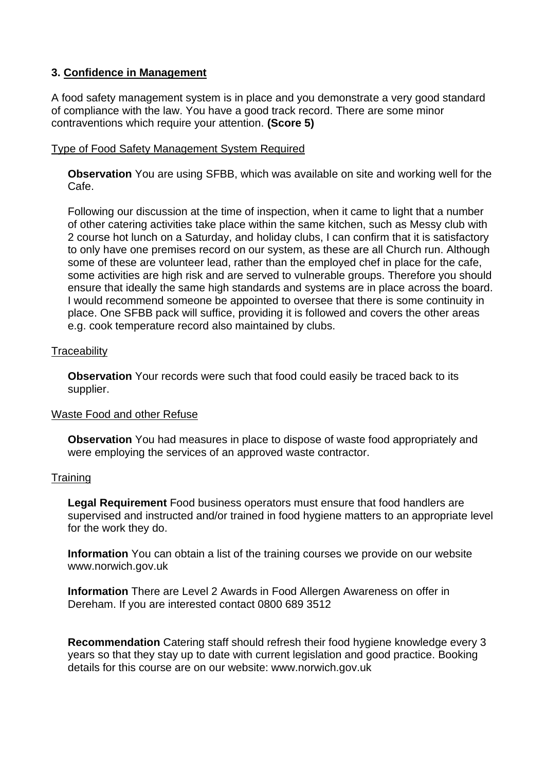### **3. Confidence in Management**

A food safety management system is in place and you demonstrate a very good standard of compliance with the law. You have a good track record. There are some minor contraventions which require your attention. **(Score 5)**

### Type of Food Safety Management System Required

**Observation** You are using SFBB, which was available on site and working well for the Cafe.

Following our discussion at the time of inspection, when it came to light that a number of other catering activities take place within the same kitchen, such as Messy club with 2 course hot lunch on a Saturday, and holiday clubs, I can confirm that it is satisfactory to only have one premises record on our system, as these are all Church run. Although some of these are volunteer lead, rather than the employed chef in place for the cafe, some activities are high risk and are served to vulnerable groups. Therefore you should ensure that ideally the same high standards and systems are in place across the board. I would recommend someone be appointed to oversee that there is some continuity in place. One SFBB pack will suffice, providing it is followed and covers the other areas e.g. cook temperature record also maintained by clubs.

### **Traceability**

**Observation** Your records were such that food could easily be traced back to its supplier.

### Waste Food and other Refuse

**Observation** You had measures in place to dispose of waste food appropriately and were employing the services of an approved waste contractor.

### **Training**

**Legal Requirement** Food business operators must ensure that food handlers are supervised and instructed and/or trained in food hygiene matters to an appropriate level for the work they do.

**Information** You can obtain a list of the training courses we provide on our website www.norwich.gov.uk

**Information** There are Level 2 Awards in Food Allergen Awareness on offer in Dereham. If you are interested contact 0800 689 3512

**Recommendation** Catering staff should refresh their food hygiene knowledge every 3 years so that they stay up to date with current legislation and good practice. Booking details for this course are on our website: www.norwich.gov.uk